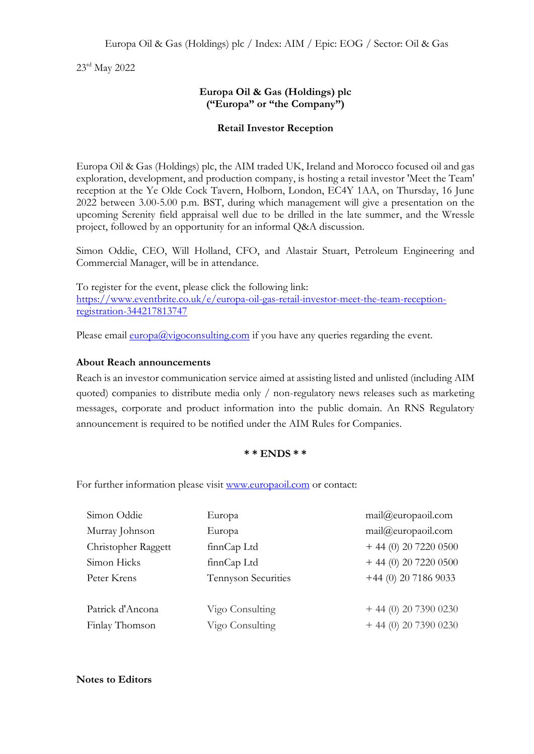23 rd May 2022

## **Europa Oil & Gas (Holdings) plc ("Europa" or "the Company")**

## **Retail Investor Reception**

Europa Oil & Gas (Holdings) plc, the AIM traded UK, Ireland and Morocco focused oil and gas exploration, development, and production company, is hosting a retail investor 'Meet the Team' reception at the Ye Olde Cock Tavern, Holborn, London, EC4Y 1AA, on Thursday, 16 June 2022 between 3.00-5.00 p.m. BST, during which management will give a presentation on the upcoming Serenity field appraisal well due to be drilled in the late summer, and the Wressle project, followed by an opportunity for an informal Q&A discussion.

Simon Oddie, CEO, Will Holland, CFO, and Alastair Stuart, Petroleum Engineering and Commercial Manager, will be in attendance.

To register for the event, please click the following link: [https://www.eventbrite.co.uk/e/europa-oil-gas-retail-investor-meet-the-team-reception](https://www.eventbrite.co.uk/e/europa-oil-gas-retail-investor-meet-the-team-reception-registration-344217813747)[registration-344217813747](https://www.eventbrite.co.uk/e/europa-oil-gas-retail-investor-meet-the-team-reception-registration-344217813747)

Please email  $\frac{\text{europa}(a)\text{vigo} \text{consulting} \text{.} \text{com}}{a}$  if you have any queries regarding the event.

## **About Reach announcements**

Reach is an investor communication service aimed at assisting listed and unlisted (including AIM quoted) companies to distribute media only / non-regulatory news releases such as marketing messages, corporate and product information into the public domain. An RNS Regulatory announcement is required to be notified under the AIM Rules for Companies.

## **\* \* ENDS \* \***

For further information please visit [www.europaoil.com](http://www.europaoil.com/) or contact:

| Simon Oddie         | Europa              | mail@europaoil.com    |
|---------------------|---------------------|-----------------------|
| Murray Johnson      | Europa              | mail@curopaoil.com    |
| Christopher Raggett | finnCap Ltd         | $+44(0)$ 20 7220 0500 |
| Simon Hicks         | finnCap Ltd         | $+44(0)$ 20 7220 0500 |
| Peter Krens         | Tennyson Securities | $+44(0)$ 20 7186 9033 |
|                     |                     |                       |
| Patrick d'Ancona    | Vigo Consulting     | $+44(0)$ 20 7390 0230 |
| Finlay Thomson      | Vigo Consulting     | $+44(0)$ 20 7390 0230 |
|                     |                     |                       |

**Notes to Editors**